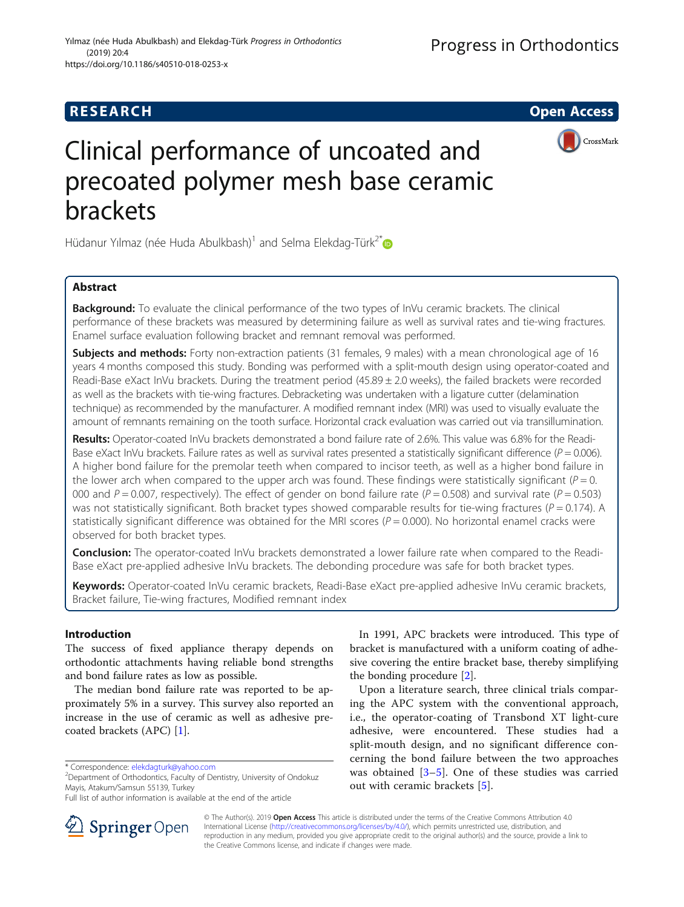



# Clinical performance of uncoated and precoated polymer mesh base ceramic brackets

Hüdanur Yılmaz (née Huda Abulkbash)<sup>1</sup> and Selma Elekdag-Türk<sup>2[\\*](http://orcid.org/0000-0002-2799-6501)</sup>

# Abstract

**Background:** To evaluate the clinical performance of the two types of InVu ceramic brackets. The clinical performance of these brackets was measured by determining failure as well as survival rates and tie-wing fractures. Enamel surface evaluation following bracket and remnant removal was performed.

Subjects and methods: Forty non-extraction patients (31 females, 9 males) with a mean chronological age of 16 years 4 months composed this study. Bonding was performed with a split-mouth design using operator-coated and Readi-Base eXact InVu brackets. During the treatment period (45.89 ± 2.0 weeks), the failed brackets were recorded as well as the brackets with tie-wing fractures. Debracketing was undertaken with a ligature cutter (delamination technique) as recommended by the manufacturer. A modified remnant index (MRI) was used to visually evaluate the amount of remnants remaining on the tooth surface. Horizontal crack evaluation was carried out via transillumination.

Results: Operator-coated InVu brackets demonstrated a bond failure rate of 2.6%. This value was 6.8% for the Readi-Base eXact InVu brackets. Failure rates as well as survival rates presented a statistically significant difference ( $P = 0.006$ ). A higher bond failure for the premolar teeth when compared to incisor teeth, as well as a higher bond failure in the lower arch when compared to the upper arch was found. These findings were statistically significant ( $P = 0$ . 000 and  $P = 0.007$ , respectively). The effect of gender on bond failure rate ( $P = 0.508$ ) and survival rate ( $P = 0.503$ ) was not statistically significant. Both bracket types showed comparable results for tie-wing fractures ( $P = 0.174$ ). A statistically significant difference was obtained for the MRI scores ( $P = 0.000$ ). No horizontal enamel cracks were observed for both bracket types.

**Conclusion:** The operator-coated InVu brackets demonstrated a lower failure rate when compared to the Readi-Base eXact pre-applied adhesive InVu brackets. The debonding procedure was safe for both bracket types.

Keywords: Operator-coated InVu ceramic brackets, Readi-Base eXact pre-applied adhesive InVu ceramic brackets, Bracket failure, Tie-wing fractures, Modified remnant index

# Introduction

The success of fixed appliance therapy depends on orthodontic attachments having reliable bond strengths and bond failure rates as low as possible.

The median bond failure rate was reported to be approximately 5% in a survey. This survey also reported an increase in the use of ceramic as well as adhesive precoated brackets (APC) [[1\]](#page-7-0).

 $2$ Department of Orthodontics, Faculty of Dentistry, University of Ondokuz Mayis, Atakum/Samsun 55139, Turkey



Upon a literature search, three clinical trials comparing the APC system with the conventional approach, i.e., the operator-coating of Transbond XT light-cure adhesive, were encountered. These studies had a split-mouth design, and no significant difference concerning the bond failure between the two approaches was obtained [[3](#page-7-0)–[5\]](#page-7-0). One of these studies was carried out with ceramic brackets [\[5](#page-7-0)].



© The Author(s). 2019 Open Access This article is distributed under the terms of the Creative Commons Attribution 4.0 International License ([http://creativecommons.org/licenses/by/4.0/\)](http://creativecommons.org/licenses/by/4.0/), which permits unrestricted use, distribution, and reproduction in any medium, provided you give appropriate credit to the original author(s) and the source, provide a link to the Creative Commons license, and indicate if changes were made.

<sup>\*</sup> Correspondence: [elekdagturk@yahoo.com](mailto:elekdagturk@yahoo.com) <sup>2</sup>

Full list of author information is available at the end of the article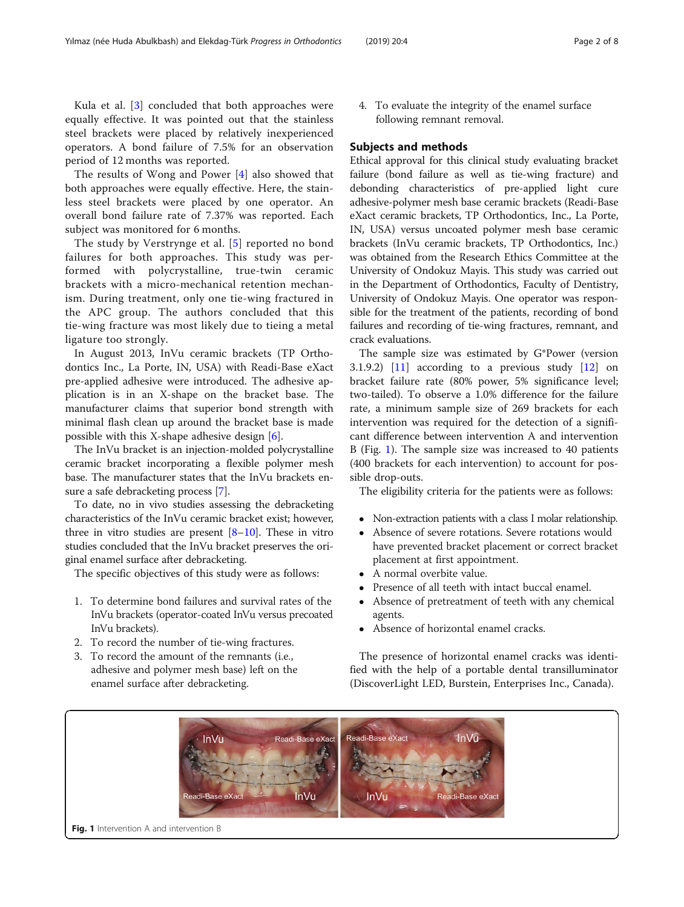<span id="page-1-0"></span>Kula et al. [[3\]](#page-7-0) concluded that both approaches were equally effective. It was pointed out that the stainless steel brackets were placed by relatively inexperienced operators. A bond failure of 7.5% for an observation period of 12 months was reported.

The results of Wong and Power [[4\]](#page-7-0) also showed that both approaches were equally effective. Here, the stainless steel brackets were placed by one operator. An overall bond failure rate of 7.37% was reported. Each subject was monitored for 6 months.

The study by Verstrynge et al. [[5\]](#page-7-0) reported no bond failures for both approaches. This study was performed with polycrystalline, true-twin ceramic brackets with a micro-mechanical retention mechanism. During treatment, only one tie-wing fractured in the APC group. The authors concluded that this tie-wing fracture was most likely due to tieing a metal ligature too strongly.

In August 2013, InVu ceramic brackets (TP Orthodontics Inc., La Porte, IN, USA) with Readi-Base eXact pre-applied adhesive were introduced. The adhesive application is in an X-shape on the bracket base. The manufacturer claims that superior bond strength with minimal flash clean up around the bracket base is made possible with this X-shape adhesive design  $[6]$  $[6]$  $[6]$ .

The InVu bracket is an injection-molded polycrystalline ceramic bracket incorporating a flexible polymer mesh base. The manufacturer states that the InVu brackets ensure a safe debracketing process [\[7](#page-7-0)].

To date, no in vivo studies assessing the debracketing characteristics of the InVu ceramic bracket exist; however, three in vitro studies are present  $[8-10]$  $[8-10]$  $[8-10]$  $[8-10]$  $[8-10]$ . These in vitro studies concluded that the InVu bracket preserves the original enamel surface after debracketing.

The specific objectives of this study were as follows:

- 1. To determine bond failures and survival rates of the InVu brackets (operator-coated InVu versus precoated InVu brackets).
- 2. To record the number of tie-wing fractures.
- 3. To record the amount of the remnants (i.e., adhesive and polymer mesh base) left on the enamel surface after debracketing.

4. To evaluate the integrity of the enamel surface following remnant removal.

## Subjects and methods

Ethical approval for this clinical study evaluating bracket failure (bond failure as well as tie-wing fracture) and debonding characteristics of pre-applied light cure adhesive-polymer mesh base ceramic brackets (Readi-Base eXact ceramic brackets, TP Orthodontics, Inc., La Porte, IN, USA) versus uncoated polymer mesh base ceramic brackets (InVu ceramic brackets, TP Orthodontics, Inc.) was obtained from the Research Ethics Committee at the University of Ondokuz Mayis. This study was carried out in the Department of Orthodontics, Faculty of Dentistry, University of Ondokuz Mayis. One operator was responsible for the treatment of the patients, recording of bond failures and recording of tie-wing fractures, remnant, and crack evaluations.

The sample size was estimated by G\*Power (version 3.1.9.2)  $\begin{bmatrix} 11 \end{bmatrix}$  according to a previous study  $\begin{bmatrix} 12 \end{bmatrix}$  on bracket failure rate (80% power, 5% significance level; two-tailed). To observe a 1.0% difference for the failure rate, a minimum sample size of 269 brackets for each intervention was required for the detection of a significant difference between intervention A and intervention B (Fig. 1). The sample size was increased to 40 patients (400 brackets for each intervention) to account for possible drop-outs.

The eligibility criteria for the patients were as follows:

- Non-extraction patients with a class I molar relationship.<br>• Absence of severe rotations Severe rotations would
- Absence of severe rotations. Severe rotations would have prevented bracket placement or correct bracket placement at first appointment.
- A normal overbite value.
- Presence of all teeth with intact buccal enamel.
- Absence of pretreatment of teeth with any chemical agents.
- Absence of horizontal enamel cracks.

The presence of horizontal enamel cracks was identified with the help of a portable dental transilluminator (DiscoverLight LED, Burstein, Enterprises Inc., Canada).

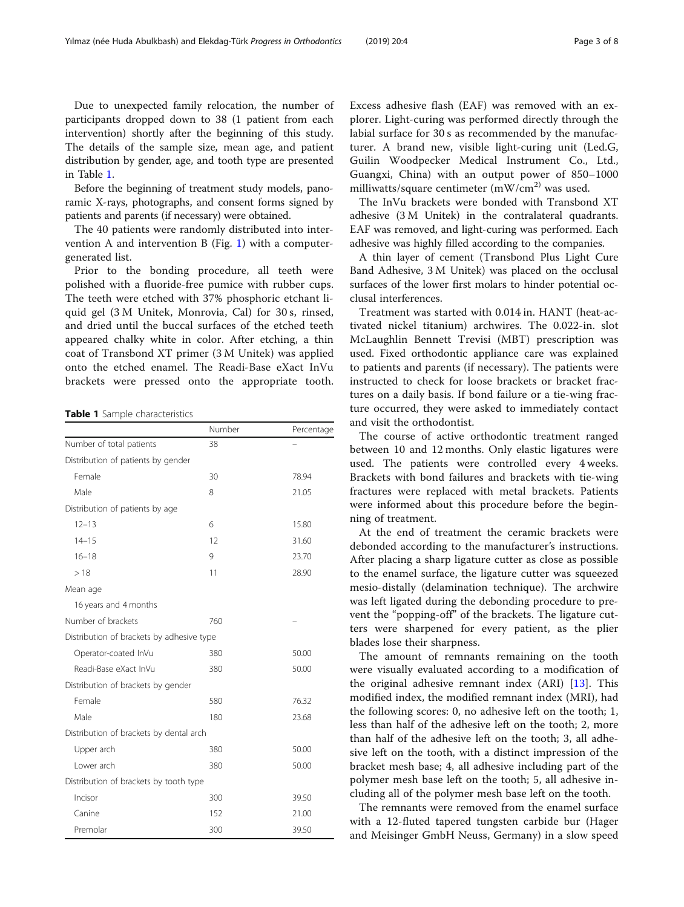Due to unexpected family relocation, the number of participants dropped down to 38 (1 patient from each intervention) shortly after the beginning of this study. The details of the sample size, mean age, and patient distribution by gender, age, and tooth type are presented in Table 1.

Before the beginning of treatment study models, panoramic X-rays, photographs, and consent forms signed by patients and parents (if necessary) were obtained.

The 40 patients were randomly distributed into inter-vention A and intervention B (Fig. [1\)](#page-1-0) with a computergenerated list.

Prior to the bonding procedure, all teeth were polished with a fluoride-free pumice with rubber cups. The teeth were etched with 37% phosphoric etchant liquid gel (3 M Unitek, Monrovia, Cal) for 30 s, rinsed, and dried until the buccal surfaces of the etched teeth appeared chalky white in color. After etching, a thin coat of Transbond XT primer (3 M Unitek) was applied onto the etched enamel. The Readi-Base eXact InVu brackets were pressed onto the appropriate tooth.

Table 1 Sample characteristics

|                                           | Number | Percentage |
|-------------------------------------------|--------|------------|
| Number of total patients                  | 38     |            |
| Distribution of patients by gender        |        |            |
| Female                                    | 30     | 78.94      |
| Male                                      | 8      | 21.05      |
| Distribution of patients by age           |        |            |
| $12 - 13$                                 | 6      | 15.80      |
| $14 - 15$                                 | 12     | 31.60      |
| $16 - 18$                                 | 9      | 23.70      |
| >18                                       | 11     | 28.90      |
| Mean age                                  |        |            |
| 16 years and 4 months                     |        |            |
| Number of brackets                        | 760    |            |
| Distribution of brackets by adhesive type |        |            |
| Operator-coated InVu                      | 380    | 50.00      |
| Readi-Base eXact InVu                     | 380    | 50.00      |
| Distribution of brackets by gender        |        |            |
| Female                                    | 580    | 76.32      |
| Male                                      | 180    | 23.68      |
| Distribution of brackets by dental arch   |        |            |
| Upper arch                                | 380    | 50.00      |
| I ower arch                               | 380    | 50.00      |
| Distribution of brackets by tooth type    |        |            |
| Incisor                                   | 300    | 39.50      |
| Canine                                    | 152    | 21.00      |
| Premolar                                  | 300    | 39.50      |

Excess adhesive flash (EAF) was removed with an explorer. Light-curing was performed directly through the labial surface for 30 s as recommended by the manufacturer. A brand new, visible light-curing unit (Led.G, Guilin Woodpecker Medical Instrument Co., Ltd., Guangxi, China) with an output power of 850–1000 milliwatts/square centimeter  $(mW/cm<sup>2</sup>)$  was used.

The InVu brackets were bonded with Transbond XT adhesive (3 M Unitek) in the contralateral quadrants. EAF was removed, and light-curing was performed. Each adhesive was highly filled according to the companies.

A thin layer of cement (Transbond Plus Light Cure Band Adhesive, 3 M Unitek) was placed on the occlusal surfaces of the lower first molars to hinder potential occlusal interferences.

Treatment was started with 0.014 in. HANT (heat-activated nickel titanium) archwires. The 0.022-in. slot McLaughlin Bennett Trevisi (MBT) prescription was used. Fixed orthodontic appliance care was explained to patients and parents (if necessary). The patients were instructed to check for loose brackets or bracket fractures on a daily basis. If bond failure or a tie-wing fracture occurred, they were asked to immediately contact and visit the orthodontist.

The course of active orthodontic treatment ranged between 10 and 12 months. Only elastic ligatures were used. The patients were controlled every 4 weeks. Brackets with bond failures and brackets with tie-wing fractures were replaced with metal brackets. Patients were informed about this procedure before the beginning of treatment.

At the end of treatment the ceramic brackets were debonded according to the manufacturer's instructions. After placing a sharp ligature cutter as close as possible to the enamel surface, the ligature cutter was squeezed mesio-distally (delamination technique). The archwire was left ligated during the debonding procedure to prevent the "popping-off" of the brackets. The ligature cutters were sharpened for every patient, as the plier blades lose their sharpness.

The amount of remnants remaining on the tooth were visually evaluated according to a modification of the original adhesive remnant index (ARI) [[13\]](#page-7-0). This modified index, the modified remnant index (MRI), had the following scores: 0, no adhesive left on the tooth; 1, less than half of the adhesive left on the tooth; 2, more than half of the adhesive left on the tooth; 3, all adhesive left on the tooth, with a distinct impression of the bracket mesh base; 4, all adhesive including part of the polymer mesh base left on the tooth; 5, all adhesive including all of the polymer mesh base left on the tooth.

The remnants were removed from the enamel surface with a 12-fluted tapered tungsten carbide bur (Hager and Meisinger GmbH Neuss, Germany) in a slow speed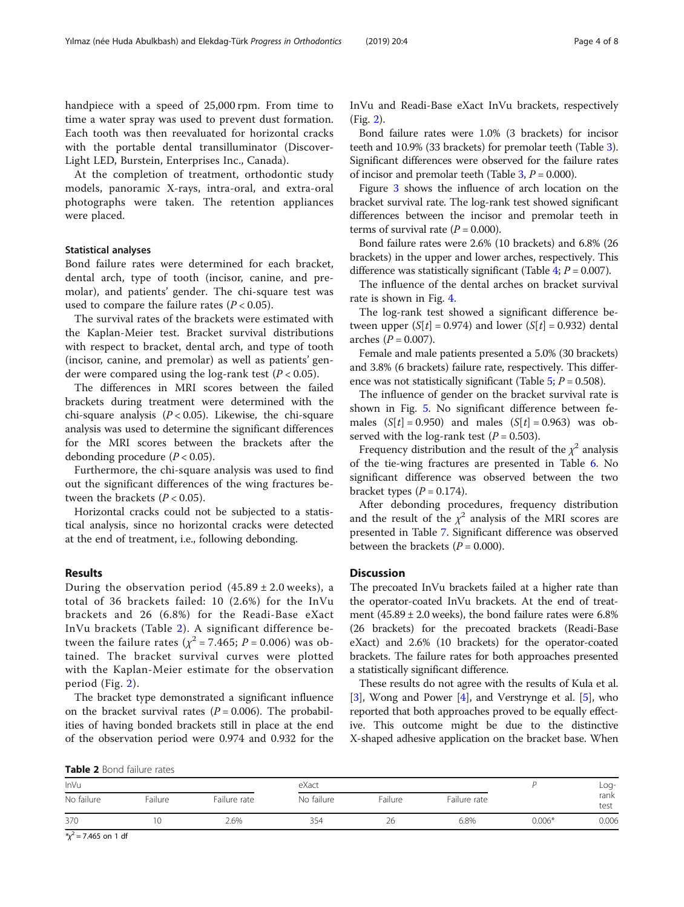handpiece with a speed of 25,000 rpm. From time to time a water spray was used to prevent dust formation. Each tooth was then reevaluated for horizontal cracks with the portable dental transilluminator (Discover-Light LED, Burstein, Enterprises Inc., Canada).

At the completion of treatment, orthodontic study models, panoramic X-rays, intra-oral, and extra-oral photographs were taken. The retention appliances were placed.

# Statistical analyses

Bond failure rates were determined for each bracket, dental arch, type of tooth (incisor, canine, and premolar), and patients' gender. The chi-square test was used to compare the failure rates ( $P < 0.05$ ).

The survival rates of the brackets were estimated with the Kaplan-Meier test. Bracket survival distributions with respect to bracket, dental arch, and type of tooth (incisor, canine, and premolar) as well as patients' gender were compared using the log-rank test ( $P < 0.05$ ).

The differences in MRI scores between the failed brackets during treatment were determined with the chi-square analysis  $(P < 0.05)$ . Likewise, the chi-square analysis was used to determine the significant differences for the MRI scores between the brackets after the debonding procedure  $(P < 0.05)$ .

Furthermore, the chi-square analysis was used to find out the significant differences of the wing fractures between the brackets  $(P < 0.05)$ .

Horizontal cracks could not be subjected to a statistical analysis, since no horizontal cracks were detected at the end of treatment, i.e., following debonding.

# Results

During the observation period  $(45.89 \pm 2.0 \text{ weeks})$ , a total of 36 brackets failed: 10 (2.6%) for the InVu brackets and 26 (6.8%) for the Readi-Base eXact InVu brackets (Table 2). A significant difference between the failure rates ( $\chi^2$  = 7.465; P = 0.006) was obtained. The bracket survival curves were plotted with the Kaplan-Meier estimate for the observation period (Fig. [2\)](#page-4-0).

The bracket type demonstrated a significant influence on the bracket survival rates ( $P = 0.006$ ). The probabilities of having bonded brackets still in place at the end of the observation period were 0.974 and 0.932 for the InVu and Readi-Base eXact InVu brackets, respectively (Fig. [2](#page-4-0)).

Bond failure rates were 1.0% (3 brackets) for incisor teeth and 10.9% (33 brackets) for premolar teeth (Table [3](#page-4-0)). Significant differences were observed for the failure rates of incisor and premolar teeth (Table  $3, P = 0.000$  $3, P = 0.000$ ).

Figure [3](#page-4-0) shows the influence of arch location on the bracket survival rate. The log-rank test showed significant differences between the incisor and premolar teeth in terms of survival rate  $(P = 0.000)$ .

Bond failure rates were 2.6% (10 brackets) and 6.8% (26 brackets) in the upper and lower arches, respectively. This difference was statistically significant (Table [4](#page-4-0);  $P = 0.007$ ).

The influence of the dental arches on bracket survival rate is shown in Fig. [4](#page-5-0).

The log-rank test showed a significant difference between upper  $(S[t] = 0.974)$  and lower  $(S[t] = 0.932)$  dental arches ( $P = 0.007$ ).

Female and male patients presented a 5.0% (30 brackets) and 3.8% (6 brackets) failure rate, respectively. This difference was not statistically significant (Table  $5$ ;  $P = 0.508$ ).

The influence of gender on the bracket survival rate is shown in Fig. [5](#page-5-0). No significant difference between females  $(S[t] = 0.950)$  and males  $(S[t] = 0.963)$  was observed with the log-rank test ( $P = 0.503$ ).

Frequency distribution and the result of the  $\chi^2$  analysis of the tie-wing fractures are presented in Table [6](#page-5-0). No significant difference was observed between the two bracket types  $(P = 0.174)$ .

After debonding procedures, frequency distribution and the result of the  $\chi^2$  analysis of the MRI scores are presented in Table [7.](#page-6-0) Significant difference was observed between the brackets  $(P = 0.000)$ .

# **Discussion**

The precoated InVu brackets failed at a higher rate than the operator-coated InVu brackets. At the end of treatment  $(45.89 \pm 2.0 \text{ weeks})$ , the bond failure rates were 6.8% (26 brackets) for the precoated brackets (Readi-Base eXact) and 2.6% (10 brackets) for the operator-coated brackets. The failure rates for both approaches presented a statistically significant difference.

These results do not agree with the results of Kula et al. [[3\]](#page-7-0), Wong and Power [[4\]](#page-7-0), and Verstrynge et al. [[5\]](#page-7-0), who reported that both approaches proved to be equally effective. This outcome might be due to the distinctive X-shaped adhesive application on the bracket base. When

Table 2 Bond failure rates

|                                     | <b>IMMIC &amp;</b> DOTIO RURAL RUCED |              |            |         |              |          |              |  |  |
|-------------------------------------|--------------------------------------|--------------|------------|---------|--------------|----------|--------------|--|--|
| InVu                                |                                      | eXact        |            |         |              | Log-     |              |  |  |
| No failure                          | Failure                              | Failure rate | No failure | Failure | Failure rate |          | rank<br>test |  |  |
| 370                                 | 10                                   | 2.6%         | 354        | 26      | 6.8%         | $0.006*$ | 0.006        |  |  |
| the contract of the contract of the |                                      |              |            |         |              |          |              |  |  |

 $x^2$  = 7.465 on 1 df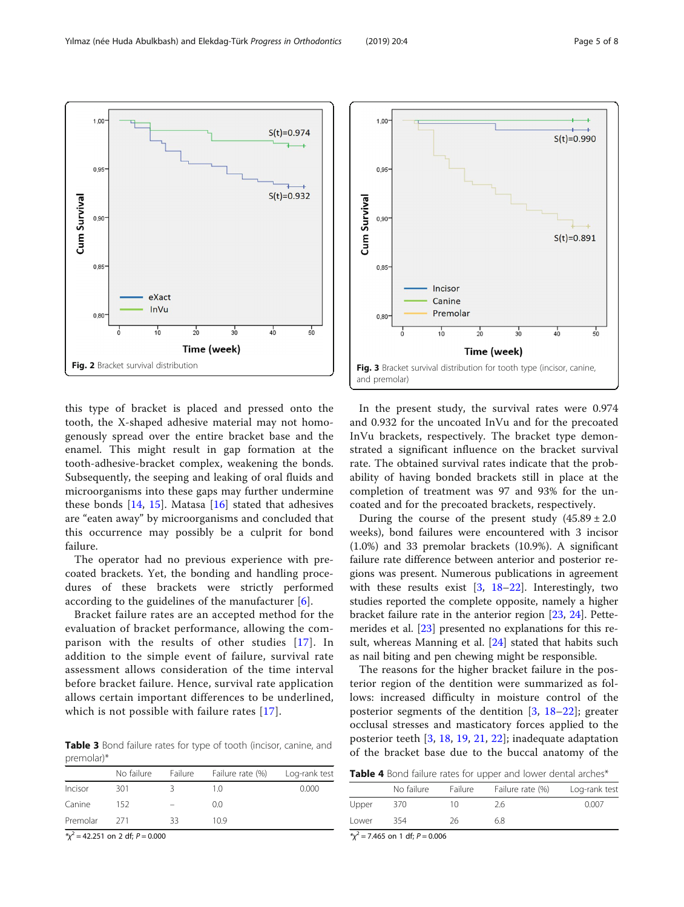this type of bracket is placed and pressed onto the tooth, the X-shaped adhesive material may not homogenously spread over the entire bracket base and the enamel. This might result in gap formation at the tooth-adhesive-bracket complex, weakening the bonds. Subsequently, the seeping and leaking of oral fluids and microorganisms into these gaps may further undermine these bonds  $[14, 15]$  $[14, 15]$  $[14, 15]$  $[14, 15]$ . Matasa  $[16]$  $[16]$  stated that adhesives are "eaten away" by microorganisms and concluded that this occurrence may possibly be a culprit for bond failure.

The operator had no previous experience with precoated brackets. Yet, the bonding and handling procedures of these brackets were strictly performed according to the guidelines of the manufacturer [\[6](#page-7-0)].

Bracket failure rates are an accepted method for the evaluation of bracket performance, allowing the comparison with the results of other studies [[17](#page-7-0)]. In addition to the simple event of failure, survival rate assessment allows consideration of the time interval before bracket failure. Hence, survival rate application allows certain important differences to be underlined, which is not possible with failure rates [[17\]](#page-7-0).

Table 3 Bond failure rates for type of tooth (incisor, canine, and premolar)\*

|          | No failure | Failure | Failure rate (%) | Log-rank test |
|----------|------------|---------|------------------|---------------|
| Incisor  | 301        |         | 10               | 0.000         |
| Canine   | 152        |         | 0.0              |               |
| Premolar | 271        | 33      | 10.9             |               |
|          |            |         |                  |               |

 $x^2 = 42.251$  on 2 df;  $P = 0.000$ 

In the present study, the survival rates were 0.974 and 0.932 for the uncoated InVu and for the precoated InVu brackets, respectively. The bracket type demonstrated a significant influence on the bracket survival rate. The obtained survival rates indicate that the probability of having bonded brackets still in place at the completion of treatment was 97 and 93% for the uncoated and for the precoated brackets, respectively.

During the course of the present study  $(45.89 \pm 2.0$ weeks), bond failures were encountered with 3 incisor (1.0%) and 33 premolar brackets (10.9%). A significant failure rate difference between anterior and posterior regions was present. Numerous publications in agreement with these results exist [\[3](#page-7-0), [18](#page-7-0)–[22\]](#page-7-0). Interestingly, two studies reported the complete opposite, namely a higher bracket failure rate in the anterior region [[23,](#page-7-0) [24\]](#page-7-0). Pettemerides et al. [[23](#page-7-0)] presented no explanations for this re-sult, whereas Manning et al. [[24](#page-7-0)] stated that habits such as nail biting and pen chewing might be responsible.

The reasons for the higher bracket failure in the posterior region of the dentition were summarized as follows: increased difficulty in moisture control of the posterior segments of the dentition [[3,](#page-7-0) [18](#page-7-0)–[22](#page-7-0)]; greater occlusal stresses and masticatory forces applied to the posterior teeth [\[3](#page-7-0), [18](#page-7-0), [19,](#page-7-0) [21,](#page-7-0) [22\]](#page-7-0); inadequate adaptation of the bracket base due to the buccal anatomy of the

|  |  | Table 4 Bond failure rates for upper and lower dental arches* |  |
|--|--|---------------------------------------------------------------|--|
|--|--|---------------------------------------------------------------|--|

|       | No failure | Failure | Failure rate (%) | Log-rank test |
|-------|------------|---------|------------------|---------------|
| Upper | 370        | 10      | 2.6              | 0.007         |
| Lower | 354        | 26      | 6.8              |               |

 $x^2 = 7.465$  on 1 df;  $P = 0.006$ 



Cum Survival

<span id="page-4-0"></span>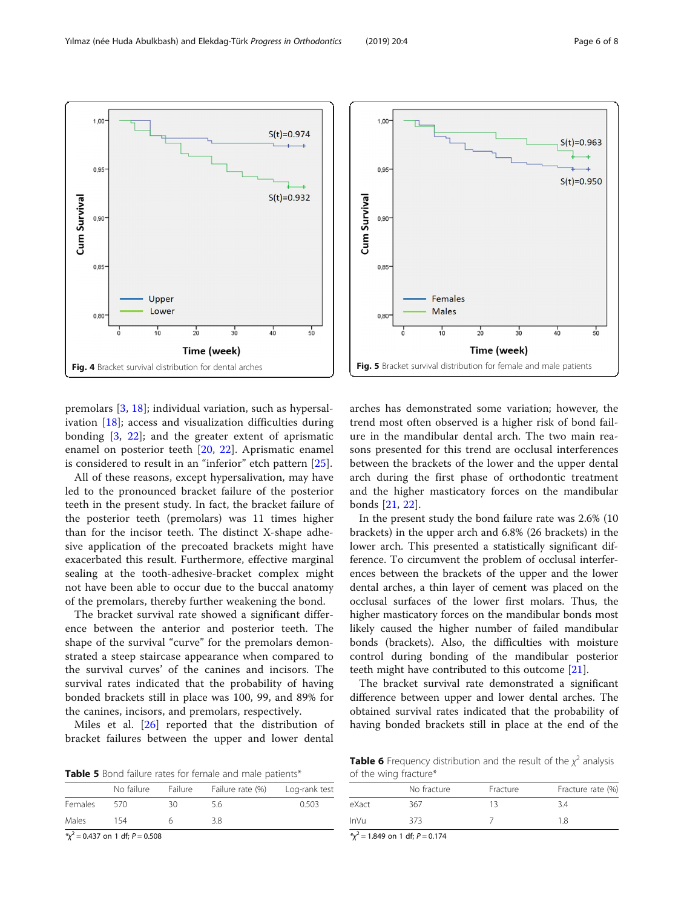premolars [[3,](#page-7-0) [18\]](#page-7-0); individual variation, such as hypersalivation [\[18](#page-7-0)]; access and visualization difficulties during bonding [[3,](#page-7-0) [22](#page-7-0)]; and the greater extent of aprismatic enamel on posterior teeth [\[20](#page-7-0), [22](#page-7-0)]. Aprismatic enamel is considered to result in an "inferior" etch pattern [\[25](#page-7-0)].

All of these reasons, except hypersalivation, may have led to the pronounced bracket failure of the posterior teeth in the present study. In fact, the bracket failure of the posterior teeth (premolars) was 11 times higher than for the incisor teeth. The distinct X-shape adhesive application of the precoated brackets might have exacerbated this result. Furthermore, effective marginal sealing at the tooth-adhesive-bracket complex might not have been able to occur due to the buccal anatomy of the premolars, thereby further weakening the bond.

The bracket survival rate showed a significant difference between the anterior and posterior teeth. The shape of the survival "curve" for the premolars demonstrated a steep staircase appearance when compared to the survival curves' of the canines and incisors. The survival rates indicated that the probability of having bonded brackets still in place was 100, 99, and 89% for the canines, incisors, and premolars, respectively.

Miles et al. [[26\]](#page-7-0) reported that the distribution of bracket failures between the upper and lower dental

| Table 5 Bond failure rates for female and male patients* |  |
|----------------------------------------------------------|--|
|----------------------------------------------------------|--|

|         | No failure                                | Failure | Failure rate (%) | Log-rank test |
|---------|-------------------------------------------|---------|------------------|---------------|
| Females | 570                                       | 30      | 56               | 0.503         |
| Males   | 154                                       |         | 3.8              |               |
|         | $\frac{x}{2}$ – 0.437 on 1 df $P - 0.508$ |         |                  |               |

\*χ  $= 0.437$  on 1 df;  $P = 0.508$  arches has demonstrated some variation; however, the trend most often observed is a higher risk of bond failure in the mandibular dental arch. The two main reasons presented for this trend are occlusal interferences between the brackets of the lower and the upper dental arch during the first phase of orthodontic treatment and the higher masticatory forces on the mandibular bonds [[21,](#page-7-0) [22](#page-7-0)].

In the present study the bond failure rate was 2.6% (10 brackets) in the upper arch and 6.8% (26 brackets) in the lower arch. This presented a statistically significant difference. To circumvent the problem of occlusal interferences between the brackets of the upper and the lower dental arches, a thin layer of cement was placed on the occlusal surfaces of the lower first molars. Thus, the higher masticatory forces on the mandibular bonds most likely caused the higher number of failed mandibular bonds (brackets). Also, the difficulties with moisture control during bonding of the mandibular posterior teeth might have contributed to this outcome [[21\]](#page-7-0).

The bracket survival rate demonstrated a significant difference between upper and lower dental arches. The obtained survival rates indicated that the probability of having bonded brackets still in place at the end of the

**Table 6** Frequency distribution and the result of the  $\chi^2$  analysis of the wing fracture\*

|             | No fracture | Fracture | Fracture rate (%) |  |  |
|-------------|-------------|----------|-------------------|--|--|
| eXact       | 367         | 13       | 3.4               |  |  |
| <b>InVu</b> | 373         |          | 1.8               |  |  |

 $x^2 = 1.849$  on 1 df;  $P = 0.174$ 

<span id="page-5-0"></span>

 $S(t)=0.963$ 

 $S(t) = 0.950$ 

 $^{1}_{40}$ 

 $\frac{1}{50}$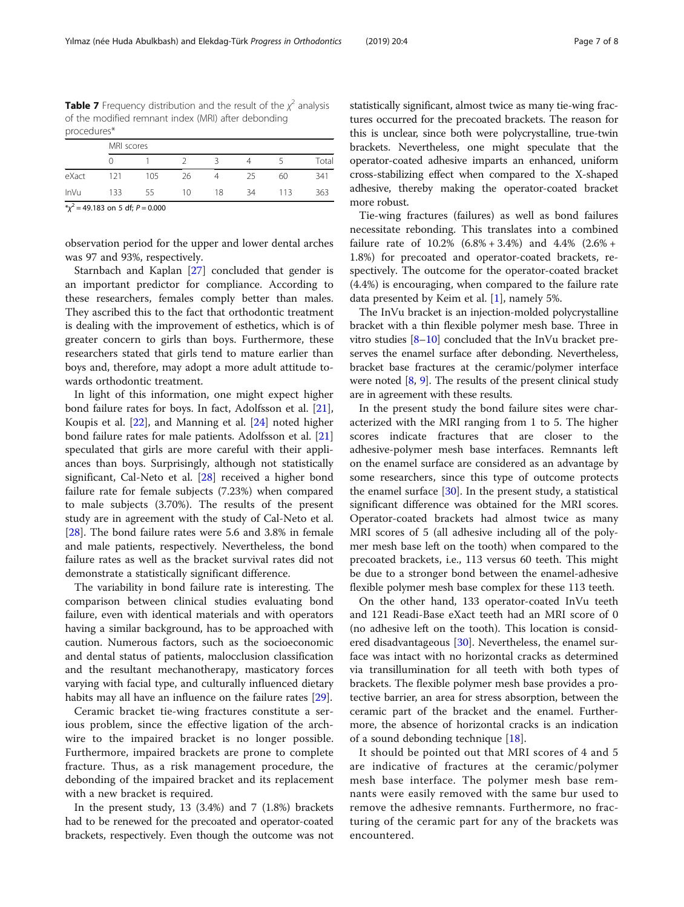<span id="page-6-0"></span>**Table 7** Frequency distribution and the result of the  $\chi^2$  analysis of the modified remnant index (MRI) after debonding procedures\*

|             | MRI scores |     |    |    |    |     |       |
|-------------|------------|-----|----|----|----|-----|-------|
|             |            |     |    |    |    |     | Total |
| eXact       | 121        | 105 | 26 |    | 25 | 60  | 341   |
| <b>InVu</b> | 133        | 55  | 10 | 18 | 34 | 113 | 363   |

 $x^2 = 49.183$  on 5 df;  $P = 0.000$ 

observation period for the upper and lower dental arches was 97 and 93%, respectively.

Starnbach and Kaplan [\[27](#page-7-0)] concluded that gender is an important predictor for compliance. According to these researchers, females comply better than males. They ascribed this to the fact that orthodontic treatment is dealing with the improvement of esthetics, which is of greater concern to girls than boys. Furthermore, these researchers stated that girls tend to mature earlier than boys and, therefore, may adopt a more adult attitude towards orthodontic treatment.

In light of this information, one might expect higher bond failure rates for boys. In fact, Adolfsson et al. [\[21](#page-7-0)], Koupis et al. [[22\]](#page-7-0), and Manning et al. [\[24\]](#page-7-0) noted higher bond failure rates for male patients. Adolfsson et al. [[21](#page-7-0)] speculated that girls are more careful with their appliances than boys. Surprisingly, although not statistically significant, Cal-Neto et al. [\[28](#page-7-0)] received a higher bond failure rate for female subjects (7.23%) when compared to male subjects (3.70%). The results of the present study are in agreement with the study of Cal-Neto et al. [[28\]](#page-7-0). The bond failure rates were 5.6 and 3.8% in female and male patients, respectively. Nevertheless, the bond failure rates as well as the bracket survival rates did not demonstrate a statistically significant difference.

The variability in bond failure rate is interesting. The comparison between clinical studies evaluating bond failure, even with identical materials and with operators having a similar background, has to be approached with caution. Numerous factors, such as the socioeconomic and dental status of patients, malocclusion classification and the resultant mechanotherapy, masticatory forces varying with facial type, and culturally influenced dietary habits may all have an influence on the failure rates [\[29](#page-7-0)].

Ceramic bracket tie-wing fractures constitute a serious problem, since the effective ligation of the archwire to the impaired bracket is no longer possible. Furthermore, impaired brackets are prone to complete fracture. Thus, as a risk management procedure, the debonding of the impaired bracket and its replacement with a new bracket is required.

In the present study,  $13$   $(3.4%)$  and  $7$   $(1.8%)$  brackets had to be renewed for the precoated and operator-coated brackets, respectively. Even though the outcome was not

statistically significant, almost twice as many tie-wing fractures occurred for the precoated brackets. The reason for this is unclear, since both were polycrystalline, true-twin brackets. Nevertheless, one might speculate that the operator-coated adhesive imparts an enhanced, uniform cross-stabilizing effect when compared to the X-shaped adhesive, thereby making the operator-coated bracket more robust.

Tie-wing fractures (failures) as well as bond failures necessitate rebonding. This translates into a combined failure rate of 10.2% (6.8% + 3.4%) and 4.4% (2.6% + 1.8%) for precoated and operator-coated brackets, respectively. The outcome for the operator-coated bracket (4.4%) is encouraging, when compared to the failure rate data presented by Keim et al. [\[1](#page-7-0)], namely 5%.

The InVu bracket is an injection-molded polycrystalline bracket with a thin flexible polymer mesh base. Three in vitro studies [\[8](#page-7-0)–[10\]](#page-7-0) concluded that the InVu bracket preserves the enamel surface after debonding. Nevertheless, bracket base fractures at the ceramic/polymer interface were noted  $[8, 9]$  $[8, 9]$  $[8, 9]$  $[8, 9]$  $[8, 9]$ . The results of the present clinical study are in agreement with these results.

In the present study the bond failure sites were characterized with the MRI ranging from 1 to 5. The higher scores indicate fractures that are closer to the adhesive-polymer mesh base interfaces. Remnants left on the enamel surface are considered as an advantage by some researchers, since this type of outcome protects the enamel surface  $[30]$  $[30]$ . In the present study, a statistical significant difference was obtained for the MRI scores. Operator-coated brackets had almost twice as many MRI scores of 5 (all adhesive including all of the polymer mesh base left on the tooth) when compared to the precoated brackets, i.e., 113 versus 60 teeth. This might be due to a stronger bond between the enamel-adhesive flexible polymer mesh base complex for these 113 teeth.

On the other hand, 133 operator-coated InVu teeth and 121 Readi-Base eXact teeth had an MRI score of 0 (no adhesive left on the tooth). This location is consid-ered disadvantageous [\[30](#page-7-0)]. Nevertheless, the enamel surface was intact with no horizontal cracks as determined via transillumination for all teeth with both types of brackets. The flexible polymer mesh base provides a protective barrier, an area for stress absorption, between the ceramic part of the bracket and the enamel. Furthermore, the absence of horizontal cracks is an indication of a sound debonding technique [\[18](#page-7-0)].

It should be pointed out that MRI scores of 4 and 5 are indicative of fractures at the ceramic/polymer mesh base interface. The polymer mesh base remnants were easily removed with the same bur used to remove the adhesive remnants. Furthermore, no fracturing of the ceramic part for any of the brackets was encountered.